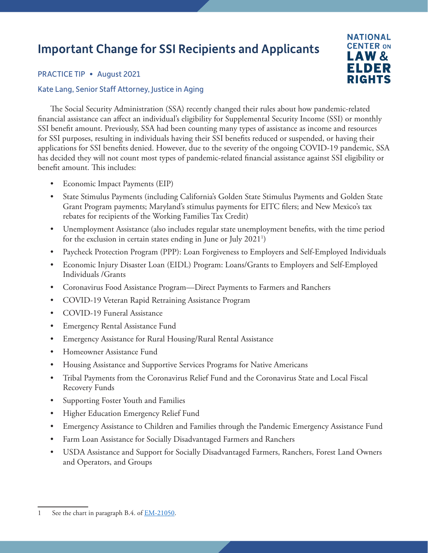## Important Change for SSI Recipients and Applicants



PRACTICE TIP • August 2021

## Kate Lang, Senior Staff Attorney, Justice in Aging

The Social Security Administration (SSA) recently changed their rules about how pandemic-related financial assistance can affect an individual's eligibility for Supplemental Security Income (SSI) or monthly SSI benefit amount. Previously, SSA had been counting many types of assistance as income and resources for SSI purposes, resulting in individuals having their SSI benefits reduced or suspended, or having their applications for SSI benefits denied. However, due to the severity of the ongoing COVID-19 pandemic, SSA has decided they will not count most types of pandemic-related financial assistance against SSI eligibility or benefit amount. This includes:

- Economic Impact Payments (EIP)
- State Stimulus Payments (including California's Golden State Stimulus Payments and Golden State Grant Program payments; Maryland's stimulus payments for EITC filers; and New Mexico's tax rebates for recipients of the Working Families Tax Credit)
- Unemployment Assistance (also includes regular state unemployment benefits, with the time period for the exclusion in certain states ending in June or July 20211 )
- Paycheck Protection Program (PPP): Loan Forgiveness to Employers and Self-Employed Individuals
- Economic Injury Disaster Loan (EIDL) Program: Loans/Grants to Employers and Self-Employed Individuals /Grants
- Coronavirus Food Assistance Program—Direct Payments to Farmers and Ranchers
- COVID-19 Veteran Rapid Retraining Assistance Program
- COVID-19 Funeral Assistance
- Emergency Rental Assistance Fund
- Emergency Assistance for Rural Housing/Rural Rental Assistance
- Homeowner Assistance Fund
- Housing Assistance and Supportive Services Programs for Native Americans
- Tribal Payments from the Coronavirus Relief Fund and the Coronavirus State and Local Fiscal Recovery Funds
- Supporting Foster Youth and Families
- Higher Education Emergency Relief Fund
- Emergency Assistance to Children and Families through the Pandemic Emergency Assistance Fund
- Farm Loan Assistance for Socially Disadvantaged Farmers and Ranchers
- USDA Assistance and Support for Socially Disadvantaged Farmers, Ranchers, Forest Land Owners and Operators, and Groups

<sup>1</sup> See the chart in paragraph B.4. of **EM-21050**.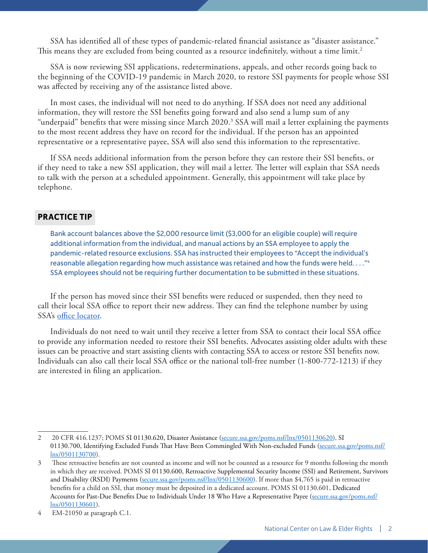SSA has identified all of these types of pandemic-related financial assistance as "disaster assistance." This means they are excluded from being counted as a resource indefinitely, without a time limit.<sup>2</sup>

SSA is now reviewing SSI applications, redeterminations, appeals, and other records going back to the beginning of the COVID-19 pandemic in March 2020, to restore SSI payments for people whose SSI was affected by receiving any of the assistance listed above.

In most cases, the individual will not need to do anything. If SSA does not need any additional information, they will restore the SSI benefits going forward and also send a lump sum of any "underpaid" benefits that were missing since March 2020.3 SSA will mail a letter explaining the payments to the most recent address they have on record for the individual. If the person has an appointed representative or a representative payee, SSA will also send this information to the representative.

If SSA needs additional information from the person before they can restore their SSI benefits, or if they need to take a new SSI application, they will mail a letter. The letter will explain that SSA needs to talk with the person at a scheduled appointment. Generally, this appointment will take place by telephone.

## **PRACTICE TIP**

Bank account balances above the \$2,000 resource limit (\$3,000 for an eligible couple) will require additional information from the individual, and manual actions by an SSA employee to apply the pandemic-related resource exclusions. SSA has instructed their employees to "Accept the individual's reasonable allegation regarding how much assistance was retained and how the funds were held. . . ."4 SSA employees should not be requiring further documentation to be submitted in these situations.

If the person has moved since their SSI benefits were reduced or suspended, then they need to call their local SSA office to report their new address. They can find the telephone number by using SSA's [office locator.](https://www.ssa.gov/locator/)

Individuals do not need to wait until they receive a letter from SSA to contact their local SSA office to provide any information needed to restore their SSI benefits. Advocates assisting older adults with these issues can be proactive and start assisting clients with contacting SSA to access or restore SSI benefits now. Individuals can also call their local SSA office or the national toll-free number (1-800-772-1213) if they are interested in filing an application.

<sup>2 20</sup> CFR 416.1237; POMS SI 01130.620, Disaster Assistance ([secure.ssa.gov/poms.nsf/lnx/0501130620](https://secure.ssa.gov/poms.nsf/lnx/0501130620)), SI 01130.700, Identifying Excluded Funds That Have Been Commingled With Non-excluded Funds [\(secure.ssa.gov/poms.nsf/](https://secure.ssa.gov/poms.nsf/lnx/0501130700) [lnx/0501130700](https://secure.ssa.gov/poms.nsf/lnx/0501130700)).

<sup>3</sup> These retroactive benefits are not counted as income and will not be counted as a resource for 9 months following the month in which they are received. POMS SI 01130.600, Retroactive Supplemental Security Income (SSI) and Retirement, Survivors and Disability (RSDI) Payments ([secure.ssa.gov/poms.nsf/lnx/0501130600](https://secure.ssa.gov/poms.nsf/lnx/0501130600)). If more than \$4,765 is paid in retroactive benefits for a child on SSI, that money must be deposited in a dedicated account. POMS SI 01130.601, Dedicated Accounts for Past-Due Benefits Due to Individuals Under 18 Who Have a Representative Payee [\(secure.ssa.gov/poms.nsf/](https://secure.ssa.gov/poms.nsf/lnx/0501130601) [lnx/0501130601](https://secure.ssa.gov/poms.nsf/lnx/0501130601)).

<sup>4</sup> EM-21050 at paragraph C.1.